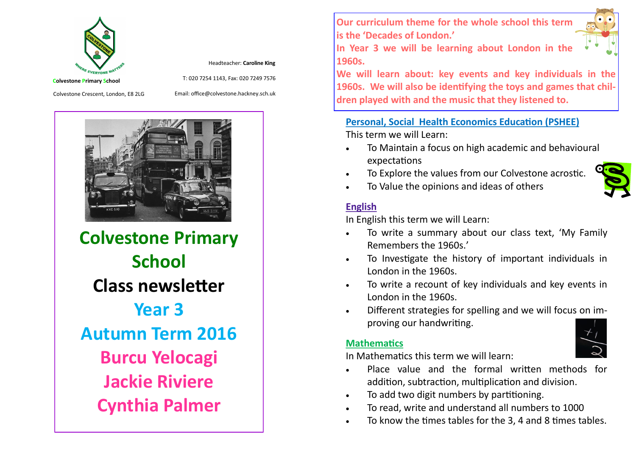

Headteacher: **Caroline King**

T: 020 7254 1143, Fax: 020 7249 7576

Colvestone Crescent, London, E8 2LG

Email: office@colvestone.hackney.sch.uk



**Colvestone Primary School Class newsletter Year 3 Autumn Term 2016 Burcu Yelocagi Jackie Riviere Cynthia Palmer**

**Our curriculum theme for the whole school this term is the 'Decades of London.'**

**In Year 3 we will be learning about London in the 1960s.** 

**We will learn about: key events and key individuals in the 1960s. We will also be identifying the toys and games that children played with and the music that they listened to.**

#### **Personal, Social Health Economics Education (PSHEE)**

This term we will Learn:

- To Maintain a focus on high academic and behavioural expectations
- To Explore the values from our Colvestone acrostic.
- To Value the opinions and ideas of others

#### **English**

In English this term we will Learn:

- To write a summary about our class text, 'My Family Remembers the 1960s.'
- To Investigate the history of important individuals in London in the 1960s.
- To write a recount of key individuals and key events in London in the 1960s.
- Different strategies for spelling and we will focus on improving our handwriting.

### **Mathematics**

In Mathematics this term we will learn:

- Place value and the formal written methods for addition, subtraction, multiplication and division.
- To add two digit numbers by partitioning.
- To read, write and understand all numbers to 1000
- To know the times tables for the 3, 4 and 8 times tables.